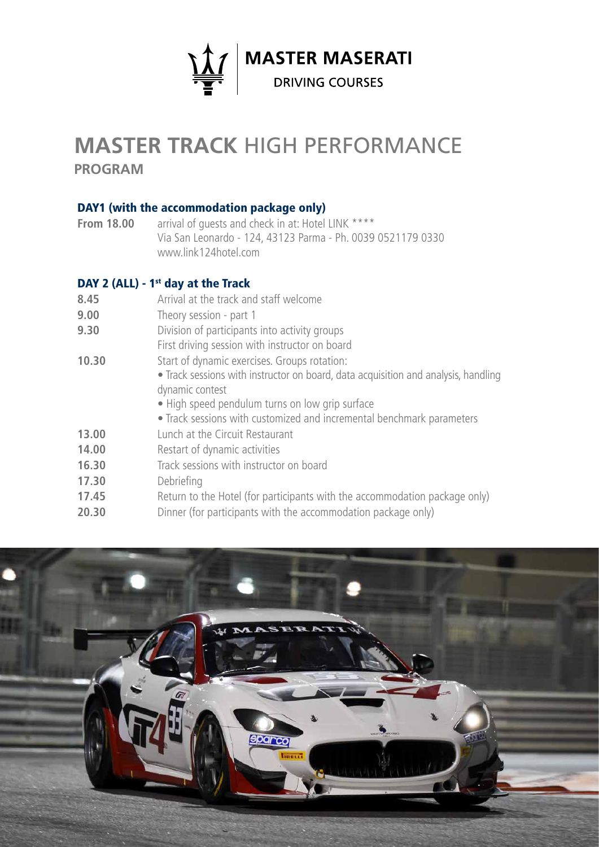

# **Master TRACK** high PERFORMANCE

**program**

#### DAY1 (with the accommodation package only)

**From 18.00** arrival of quests and check in at: Hotel LINK \*\*\*\* Via San Leonardo - 124, 43123 Parma - Ph. 0039 0521179 0330 www.link124hotel.com

### DAY 2 (ALL) -  $1<sup>st</sup>$  day at the Track

- **8.45** Arrival at the track and staff welcome
- **9.00** Theory session part 1
- **9.30** Division of participants into activity groups
- First driving session with instructor on board
- **10.30** Start of dynamic exercises. Groups rotation:
	- Track sessions with instructor on board, data acquisition and analysis, handling dynamic contest
		- High speed pendulum turns on low grip surface
	- Track sessions with customized and incremental benchmark parameters
- **13.00** Lunch at the Circuit Restaurant
- 14.00 **Restart of dynamic activities**
- **16.30** Track sessions with instructor on board
- **17.30** Debriefing
- **17.45** Return to the Hotel (for participants with the accommodation package only)
- **20.30** Dinner (for participants with the accommodation package only)